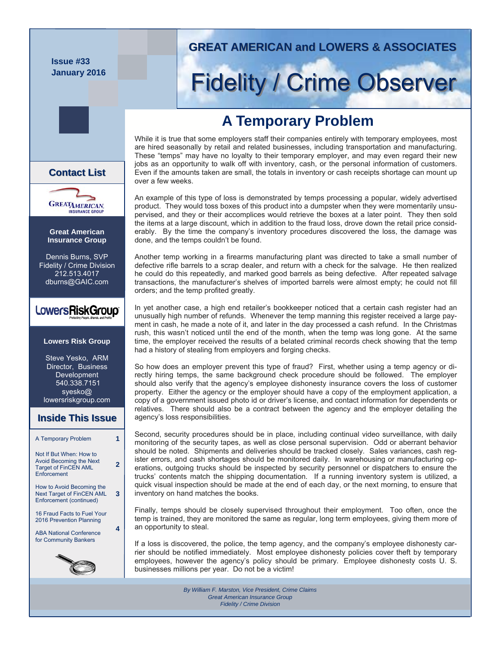**Issue #33 January 2016** 



# **Fidelity / Crime Observer**

# **A Temporary Problem**

While it is true that some employers staff their companies entirely with temporary employees, most are hired seasonally by retail and related businesses, including transportation and manufacturing. These "temps" may have no loyalty to their temporary employer, and may even regard their new jobs as an opportunity to walk off with inventory, cash, or the personal information of customers. Even if the amounts taken are small, the totals in inventory or cash receipts shortage can mount up over a few weeks.

An example of this type of loss is demonstrated by temps processing a popular, widely advertised product. They would toss boxes of this product into a dumpster when they were momentarily unsupervised, and they or their accomplices would retrieve the boxes at a later point. They then sold the items at a large discount, which in addition to the fraud loss, drove down the retail price considerably. By the time the company's inventory procedures discovered the loss, the damage was done, and the temps couldn't be found.

Another temp working in a firearms manufacturing plant was directed to take a small number of defective rifle barrels to a scrap dealer, and return with a check for the salvage. He then realized he could do this repeatedly, and marked good barrels as being defective. After repeated salvage transactions, the manufacturer's shelves of imported barrels were almost empty; he could not fill orders; and the temp profited greatly.

In yet another case, a high end retailer's bookkeeper noticed that a certain cash register had an unusually high number of refunds. Whenever the temp manning this register received a large payment in cash, he made a note of it, and later in the day processed a cash refund. In the Christmas rush, this wasn't noticed until the end of the month, when the temp was long gone. At the same time, the employer received the results of a belated criminal records check showing that the temp had a history of stealing from employers and forging checks.

So how does an employer prevent this type of fraud? First, whether using a temp agency or directly hiring temps, the same background check procedure should be followed. The employer should also verify that the agency's employee dishonesty insurance covers the loss of customer property. Either the agency or the employer should have a copy of the employment application, a copy of a government issued photo id or driver's license, and contact information for dependents or relatives. There should also be a contract between the agency and the employer detailing the agency's loss responsibilities.

Second, security procedures should be in place, including continual video surveillance, with daily monitoring of the security tapes, as well as close personal supervision. Odd or aberrant behavior should be noted. Shipments and deliveries should be tracked closely. Sales variances, cash register errors, and cash shortages should be monitored daily. In warehousing or manufacturing operations, outgoing trucks should be inspected by security personnel or dispatchers to ensure the trucks' contents match the shipping documentation. If a running inventory system is utilized, a quick visual inspection should be made at the end of each day, or the next morning, to ensure that inventory on hand matches the books.

Finally, temps should be closely supervised throughout their employment. Too often, once the temp is trained, they are monitored the same as regular, long term employees, giving them more of an opportunity to steal.

If a loss is discovered, the police, the temp agency, and the company's employee dishonesty carrier should be notified immediately. Most employee dishonesty policies cover theft by temporary employees, however the agency's policy should be primary. Employee dishonesty costs U. S. businesses millions per year. Do not be a victim!

> *By William F. Marston, Vice President, Crime Claims Great American Insurance Group Fidelity / Crime Division*

**Contact List List**



**Great American Insurance Group** 

Dennis Burns, SVP Fidelity / Crime Division 212.513.4017 dburns@GAIC.com

## LowersRiskGroup®

#### **Lowers Risk Group**

Steve Yesko, ARM Director, Business Development 540.338.7151 syesko@ lowersriskgroup.com

#### **Inside This Issue Inside This Issue**

| A Temporary Problem                                                                                     |  |
|---------------------------------------------------------------------------------------------------------|--|
| Not If But When: How to<br><b>Avoid Becoming the Next</b><br><b>Target of FinCEN AML</b><br>Enforcement |  |
| How to Avoid Becoming the<br><b>Next Target of FinCEN AML</b><br>Enforcement (continued)                |  |
| 16 Fraud Facts to Fuel Your<br>2016 Prevention Planning                                                 |  |
| <b>ABA National Conference</b><br>for Community Bankers                                                 |  |
|                                                                                                         |  |

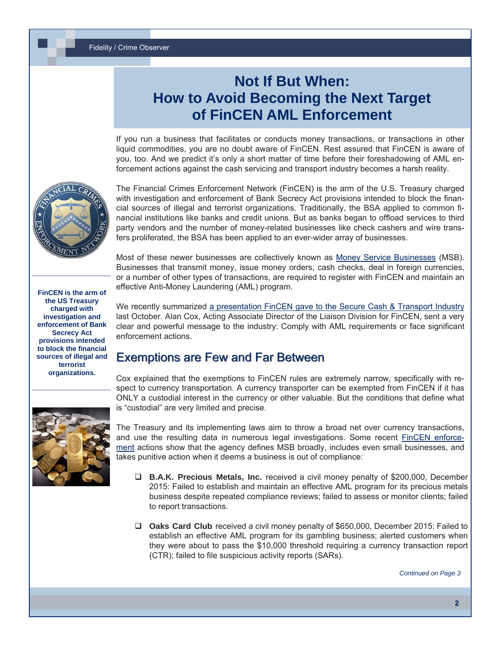# **Not If But When: How to Avoid Becoming the Next Target of FinCEN AML Enforcement**

If you run a business that facilitates or conducts money transactions, or transactions in other liquid commodities, you are no doubt aware of FinCEN. Rest assured that FinCEN is aware of you, too. And we predict it's only a short matter of time before their foreshadowing of AML enforcement actions against the cash servicing and transport industry becomes a harsh reality.



The Financial Crimes Enforcement Network (FinCEN) is the arm of the U.S. Treasury charged with investigation and enforcement of Bank Secrecy Act provisions intended to block the financial sources of illegal and terrorist organizations. Traditionally, the BSA applied to common financial institutions like banks and credit unions. But as banks began to offload services to third party vendors and the number of money-related businesses like check cashers and wire transfers proliferated, the BSA has been applied to an ever-wider array of businesses.

Most of these newer businesses are collectively known as [Money Service Businesses](https://www.fincen.gov/financial_institutions/msb/amimsb.html) (MSB). Businesses that transmit money, issue money orders, cash checks, deal in foreign currencies, or a number of other types of transactions, are required to register with FinCEN and maintain an effective Anti-Money Laundering (AML) program.

**FinCEN is the arm of the US Treasury charged with investigation and enforcement of Bank Secrecy Act provisions intended to block the financial sources of illegal and terrorist organizations.**

We recently summarized [a presentation FinCEN gave to the Secure Cash & Transport Industry](http://www.lowersriskgroup.com/blog/2015/10/06/fincen-aml-enforcement/) last October. Alan Cox, Acting Associate Director of the Liaison Division for FinCEN, sent a very clear and powerful message to the industry: Comply with AML requirements or face significant enforcement actions.

### **Exemptions are Few and Far Between**

Cox explained that the exemptions to FinCEN rules are extremely narrow, specifically with respect to currency transportation. A currency transporter can be exempted from FinCEN if it has ONLY a custodial interest in the currency or other valuable. But the conditions that define what is "custodial" are very limited and precise.



The Treasury and its implementing laws aim to throw a broad net over currency transactions, and use the resulting data in numerous legal investigations. Some recent **FinCEN** enforce[ment](https://www.fincen.gov/news_room/ea/ea.msb.html) actions show that the agency defines MSB broadly, includes even small businesses, and takes punitive action when it deems a business is out of compliance:

- **B.A.K. Precious Metals, Inc.** received a civil money penalty of \$200,000, December 2015: Failed to establish and maintain an effective AML program for its precious metals business despite repeated compliance reviews; failed to assess or monitor clients; failed to report transactions.
- **Oaks Card Club** received a civil money penalty of \$650,000, December 2015: Failed to establish an effective AML program for its gambling business; alerted customers when they were about to pass the \$10,000 threshold requiring a currency transaction report (CTR); failed to file suspicious activity reports (SARs).

*Continued on Page 3*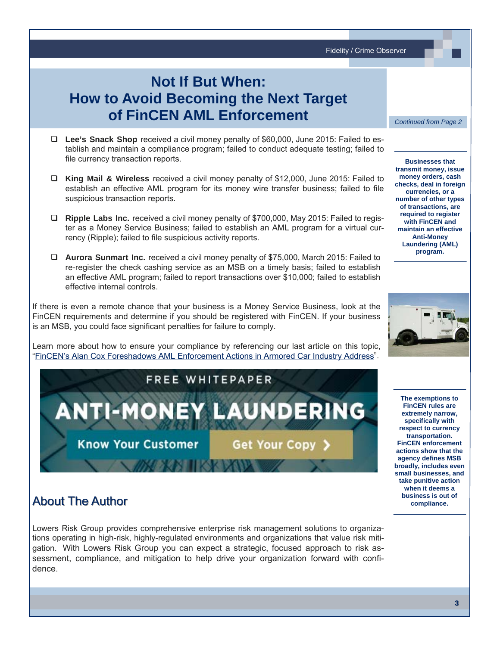Fidelity / Crime Observer

# **Not If But When: How to Avoid Becoming the Next Target of FinCEN AML Enforcement**

- **Lee's Snack Shop** received a civil money penalty of \$60,000, June 2015: Failed to establish and maintain a compliance program; failed to conduct adequate testing; failed to file currency transaction reports.
- **King Mail & Wireless** received a civil money penalty of \$12,000, June 2015: Failed to establish an effective AML program for its money wire transfer business; failed to file suspicious transaction reports.
- **Ripple Labs Inc.** received a civil money penalty of \$700,000, May 2015: Failed to register as a Money Service Business; failed to establish an AML program for a virtual currency (Ripple); failed to file suspicious activity reports.
- **Aurora Sunmart Inc.** received a civil money penalty of \$75,000, March 2015: Failed to re-register the check cashing service as an MSB on a timely basis; failed to establish an effective AML program; failed to report transactions over \$10,000; failed to establish effective internal controls.

If there is even a remote chance that your business is a Money Service Business, look at the FinCEN requirements and determine if you should be registered with FinCEN. If your business is an MSB, you could face significant penalties for failure to comply.

Learn more about how to ensure your compliance by referencing our last article on this topic, "[FinCEN's Alan Cox Foreshadows AML Enforcement Actions in Armored Car Industry Address](http://www.lowersriskgroup.com/blog/2015/10/06/fincen-aml-enforcement/)".



### **About The Author**

Lowers Risk Group provides comprehensive enterprise risk management solutions to organizations operating in high-risk, highly-regulated environments and organizations that value risk mitigation. With Lowers Risk Group you can expect a strategic, focused approach to risk assessment, compliance, and mitigation to help drive your organization forward with confidence.

*Continued from Page 2* 

**Businesses that transmit money, issue money orders, cash checks, deal in foreign currencies, or a number of other types of transactions, are required to register with FinCEN and maintain an effective Anti-Money Laundering (AML) program.**



**The exemptions to FinCEN rules are extremely narrow, specifically with respect to currency transportation. FinCEN enforcement actions show that the agency defines MSB broadly, includes even small businesses, and take punitive action when it deems a business is out of compliance.**